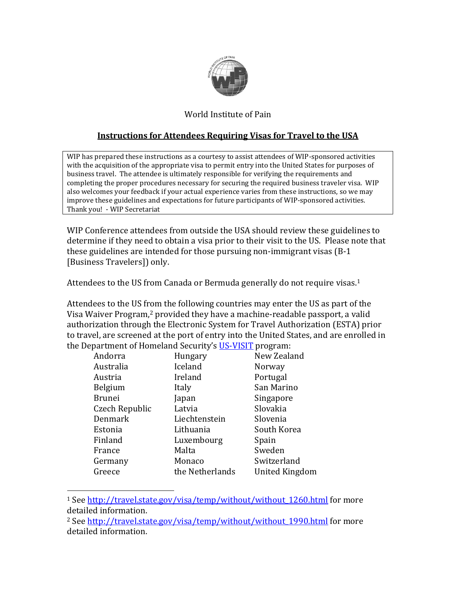

## World Institute of Pain

## **Instructions for Attendees Requiring Visas for Travel to the USA**

WIP has prepared these instructions as a courtesy to assist attendees of WIP-sponsored activities with the acquisition of the appropriate visa to permit entry into the United States for purposes of business travel. The attendee is ultimately responsible for verifying the requirements and completing the proper procedures necessary for securing the required business traveler visa. WIP also welcomes your feedback if your actual experience varies from these instructions, so we may improve these guidelines and expectations for future participants of WIP-sponsored activities. Thank you! - WIP Secretariat

WIP Conference attendees from outside the USA should review these guidelines to determine if they need to obtain a visa prior to their visit to the US. Please note that these guidelines are intended for those pursuing non-immigrant visas (B-1 [Business Travelers]) only.

Attendees to the US from Canada or Bermuda generally do not require visas.<sup>1</sup>

Attendees to the US from the following countries may enter the US as part of the Visa Waiver Program,<sup>2</sup> provided they have a machine-readable passport, a valid authorization through the Electronic System for Travel Authorization (ESTA) prior to travel, are screened at the port of entry into the United States, and are enrolled in the Department of Homeland Security's [US-VISIT](http://www.dhs.gov/xtrvlsec/programs/content_multi_image_0006.shtm) program:

| Andorra        | Hungary         | New Zealand    |
|----------------|-----------------|----------------|
| Australia      | Iceland         | Norway         |
| Austria        | Ireland         | Portugal       |
| Belgium        | Italy           | San Marino     |
| <b>Brunei</b>  | Japan           | Singapore      |
| Czech Republic | Latvia          | Slovakia       |
| Denmark        | Liechtenstein   | Slovenia       |
| Estonia        | Lithuania       | South Korea    |
| Finland        | Luxembourg      | Spain          |
| France         | Malta           | Sweden         |
| Germany        | Monaco          | Switzerland    |
| Greece         | the Netherlands | United Kingdom |
|                |                 |                |

<sup>&</sup>lt;sup>1</sup> See http://travel.state.gov/visa/temp/without/without 1260.html for more detailed information.

 $\overline{a}$ 

<sup>&</sup>lt;sup>2</sup> See http://travel.state.gov/visa/temp/without/without 1990.html for more detailed information.